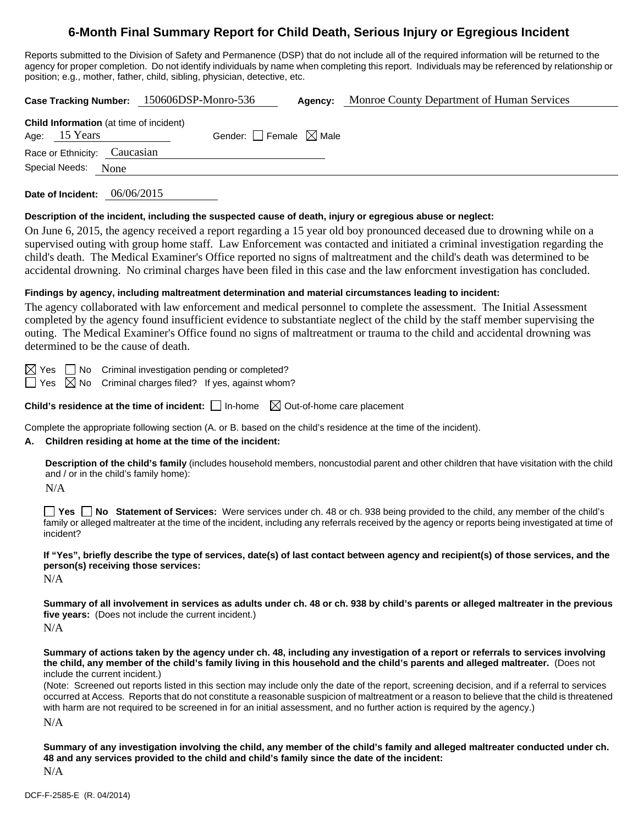## **6-Month Final Summary Report for Child Death, Serious Injury or Egregious Incident**

Reports submitted to the Division of Safety and Permanence (DSP) that do not include all of the required information will be returned to the agency for proper completion. Do not identify individuals by name when completing this report. Individuals may be referenced by relationship or position; e.g., mother, father, child, sibling, physician, detective, etc.

**Case Tracking Number:** 150606DSP-Monro-536 **Agency:** Monroe County Department of Human Services **Child Information** (at time of incident) Age:  $15$  Years Gender: Female  $\boxtimes$  Male Race or Ethnicity: Caucasian Special Needs: None

**Date of Incident:** 06/06/2015

#### **Description of the incident, including the suspected cause of death, injury or egregious abuse or neglect:**

On June 6, 2015, the agency received a report regarding a 15 year old boy pronounced deceased due to drowning while on a supervised outing with group home staff. Law Enforcement was contacted and initiated a criminal investigation regarding the child's death. The Medical Examiner's Office reported no signs of maltreatment and the child's death was determined to be accidental drowning. No criminal charges have been filed in this case and the law enforcment investigation has concluded.

#### **Findings by agency, including maltreatment determination and material circumstances leading to incident:**

The agency collaborated with law enforcement and medical personnel to complete the assessment. The Initial Assessment completed by the agency found insufficient evidence to substantiate neglect of the child by the staff member supervising the outing. The Medical Examiner's Office found no signs of maltreatment or trauma to the child and accidental drowning was determined to be the cause of death.

 $\boxtimes$  Yes  $\Box$  No Criminal investigation pending or completed?

 $\Box$  Yes  $\boxtimes$  No Criminal charges filed? If yes, against whom?

**Child's residence at the time of incident:**  $\Box$  In-home  $\Box$  Out-of-home care placement

Complete the appropriate following section (A. or B. based on the child's residence at the time of the incident).

#### **A. Children residing at home at the time of the incident:**

**Description of the child's family** (includes household members, noncustodial parent and other children that have visitation with the child and / or in the child's family home):

N/A

**Yes No Statement of Services:** Were services under ch. 48 or ch. 938 being provided to the child, any member of the child's family or alleged maltreater at the time of the incident, including any referrals received by the agency or reports being investigated at time of incident?

**If "Yes", briefly describe the type of services, date(s) of last contact between agency and recipient(s) of those services, and the person(s) receiving those services:** 

N/A

**Summary of all involvement in services as adults under ch. 48 or ch. 938 by child's parents or alleged maltreater in the previous five years:** (Does not include the current incident.)

 $N/A$ 

**Summary of actions taken by the agency under ch. 48, including any investigation of a report or referrals to services involving the child, any member of the child's family living in this household and the child's parents and alleged maltreater.** (Does not include the current incident.)

(Note: Screened out reports listed in this section may include only the date of the report, screening decision, and if a referral to services occurred at Access. Reports that do not constitute a reasonable suspicion of maltreatment or a reason to believe that the child is threatened with harm are not required to be screened in for an initial assessment, and no further action is required by the agency.)

N/A

**Summary of any investigation involving the child, any member of the child's family and alleged maltreater conducted under ch. 48 and any services provided to the child and child's family since the date of the incident:** 

N/A